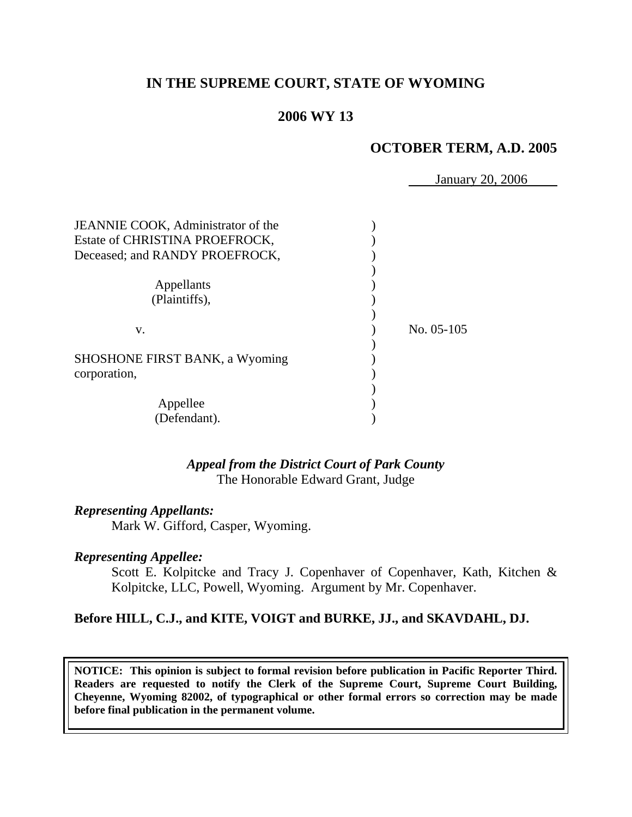## **IN THE SUPREME COURT, STATE OF WYOMING**

## **2006 WY 13**

### **OCTOBER TERM, A.D. 2005**

January 20, 2006

| JEANNIE COOK, Administrator of the<br>Estate of CHRISTINA PROEFROCK,<br>Deceased; and RANDY PROEFROCK, |              |
|--------------------------------------------------------------------------------------------------------|--------------|
| Appellants<br>(Plaintiffs),                                                                            |              |
| V.                                                                                                     | No. $05-105$ |
| <b>SHOSHONE FIRST BANK, a Wyoming</b><br>corporation,                                                  |              |
| Appellee<br>(Defendant).                                                                               |              |

#### *Appeal from the District Court of Park County* The Honorable Edward Grant, Judge

#### *Representing Appellants:*

Mark W. Gifford, Casper, Wyoming.

#### *Representing Appellee:*

 Scott E. Kolpitcke and Tracy J. Copenhaver of Copenhaver, Kath, Kitchen & Kolpitcke, LLC, Powell, Wyoming. Argument by Mr. Copenhaver.

#### **Before HILL, C.J., and KITE, VOIGT and BURKE, JJ., and SKAVDAHL, DJ.**

**NOTICE: This opinion is subject to formal revision before publication in Pacific Reporter Third. Readers are requested to notify the Clerk of the Supreme Court, Supreme Court Building, Cheyenne, Wyoming 82002, of typographical or other formal errors so correction may be made before final publication in the permanent volume.**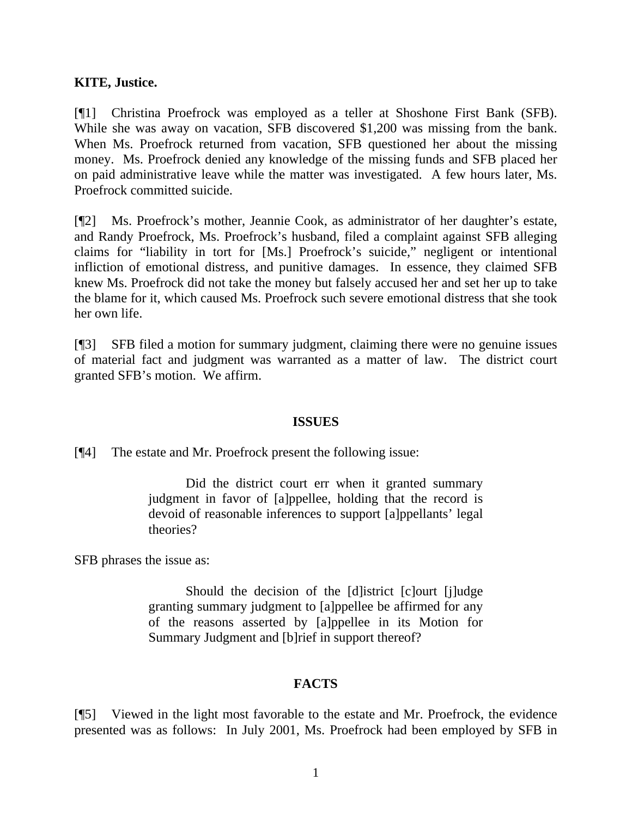### **KITE, Justice.**

[¶1] Christina Proefrock was employed as a teller at Shoshone First Bank (SFB). While she was away on vacation, SFB discovered \$1,200 was missing from the bank. When Ms. Proefrock returned from vacation, SFB questioned her about the missing money. Ms. Proefrock denied any knowledge of the missing funds and SFB placed her on paid administrative leave while the matter was investigated. A few hours later, Ms. Proefrock committed suicide.

[¶2] Ms. Proefrock's mother, Jeannie Cook, as administrator of her daughter's estate, and Randy Proefrock, Ms. Proefrock's husband, filed a complaint against SFB alleging claims for "liability in tort for [Ms.] Proefrock's suicide," negligent or intentional infliction of emotional distress, and punitive damages. In essence, they claimed SFB knew Ms. Proefrock did not take the money but falsely accused her and set her up to take the blame for it, which caused Ms. Proefrock such severe emotional distress that she took her own life.

[¶3] SFB filed a motion for summary judgment, claiming there were no genuine issues of material fact and judgment was warranted as a matter of law. The district court granted SFB's motion. We affirm.

#### **ISSUES**

[¶4] The estate and Mr. Proefrock present the following issue:

 Did the district court err when it granted summary judgment in favor of [a]ppellee, holding that the record is devoid of reasonable inferences to support [a]ppellants' legal theories?

SFB phrases the issue as:

 Should the decision of the [d]istrict [c]ourt [j]udge granting summary judgment to [a]ppellee be affirmed for any of the reasons asserted by [a]ppellee in its Motion for Summary Judgment and [b]rief in support thereof?

## **FACTS**

[¶5] Viewed in the light most favorable to the estate and Mr. Proefrock, the evidence presented was as follows: In July 2001, Ms. Proefrock had been employed by SFB in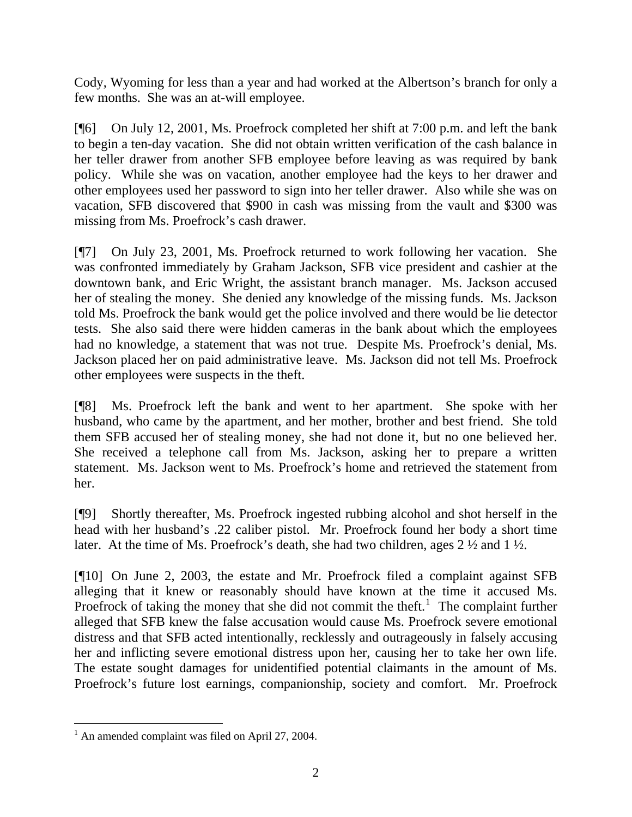Cody, Wyoming for less than a year and had worked at the Albertson's branch for only a few months. She was an at-will employee.

[¶6] On July 12, 2001, Ms. Proefrock completed her shift at 7:00 p.m. and left the bank to begin a ten-day vacation. She did not obtain written verification of the cash balance in her teller drawer from another SFB employee before leaving as was required by bank policy. While she was on vacation, another employee had the keys to her drawer and other employees used her password to sign into her teller drawer. Also while she was on vacation, SFB discovered that \$900 in cash was missing from the vault and \$300 was missing from Ms. Proefrock's cash drawer.

[¶7] On July 23, 2001, Ms. Proefrock returned to work following her vacation. She was confronted immediately by Graham Jackson, SFB vice president and cashier at the downtown bank, and Eric Wright, the assistant branch manager. Ms. Jackson accused her of stealing the money. She denied any knowledge of the missing funds. Ms. Jackson told Ms. Proefrock the bank would get the police involved and there would be lie detector tests. She also said there were hidden cameras in the bank about which the employees had no knowledge, a statement that was not true. Despite Ms. Proefrock's denial, Ms. Jackson placed her on paid administrative leave. Ms. Jackson did not tell Ms. Proefrock other employees were suspects in the theft.

[¶8] Ms. Proefrock left the bank and went to her apartment. She spoke with her husband, who came by the apartment, and her mother, brother and best friend. She told them SFB accused her of stealing money, she had not done it, but no one believed her. She received a telephone call from Ms. Jackson, asking her to prepare a written statement. Ms. Jackson went to Ms. Proefrock's home and retrieved the statement from her.

[¶9] Shortly thereafter, Ms. Proefrock ingested rubbing alcohol and shot herself in the head with her husband's .22 caliber pistol. Mr. Proefrock found her body a short time later. At the time of Ms. Proefrock's death, she had two children, ages 2 ½ and 1 ½.

[¶10] On June 2, 2003, the estate and Mr. Proefrock filed a complaint against SFB alleging that it knew or reasonably should have known at the time it accused Ms. Proefrock of taking the money that she did not commit the theft.<sup>[1](#page-3-0)</sup> The complaint further alleged that SFB knew the false accusation would cause Ms. Proefrock severe emotional distress and that SFB acted intentionally, recklessly and outrageously in falsely accusing her and inflicting severe emotional distress upon her, causing her to take her own life. The estate sought damages for unidentified potential claimants in the amount of Ms. Proefrock's future lost earnings, companionship, society and comfort. Mr. Proefrock

 $\overline{a}$ 

<span id="page-3-0"></span> $<sup>1</sup>$  An amended complaint was filed on April 27, 2004.</sup>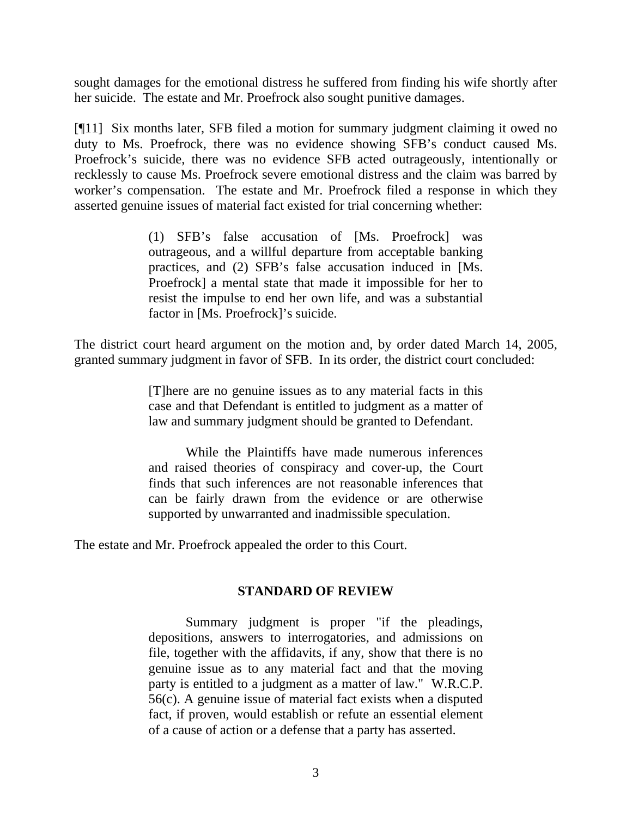sought damages for the emotional distress he suffered from finding his wife shortly after her suicide. The estate and Mr. Proefrock also sought punitive damages.

[¶11] Six months later, SFB filed a motion for summary judgment claiming it owed no duty to Ms. Proefrock, there was no evidence showing SFB's conduct caused Ms. Proefrock's suicide, there was no evidence SFB acted outrageously, intentionally or recklessly to cause Ms. Proefrock severe emotional distress and the claim was barred by worker's compensation. The estate and Mr. Proefrock filed a response in which they asserted genuine issues of material fact existed for trial concerning whether:

> (1) SFB's false accusation of [Ms. Proefrock] was outrageous, and a willful departure from acceptable banking practices, and (2) SFB's false accusation induced in [Ms. Proefrock] a mental state that made it impossible for her to resist the impulse to end her own life, and was a substantial factor in [Ms. Proefrock]'s suicide.

The district court heard argument on the motion and, by order dated March 14, 2005, granted summary judgment in favor of SFB. In its order, the district court concluded:

> [T]here are no genuine issues as to any material facts in this case and that Defendant is entitled to judgment as a matter of law and summary judgment should be granted to Defendant.

> While the Plaintiffs have made numerous inferences and raised theories of conspiracy and cover-up, the Court finds that such inferences are not reasonable inferences that can be fairly drawn from the evidence or are otherwise supported by unwarranted and inadmissible speculation.

The estate and Mr. Proefrock appealed the order to this Court.

#### **STANDARD OF REVIEW**

Summary judgment is proper "if the pleadings, depositions, answers to interrogatories, and admissions on file, together with the affidavits, if any, show that there is no genuine issue as to any material fact and that the moving party is entitled to a judgment as a matter of law." W.R.C.P. 56(c). A genuine issue of material fact exists when a disputed fact, if proven, would establish or refute an essential element of a cause of action or a defense that a party has asserted.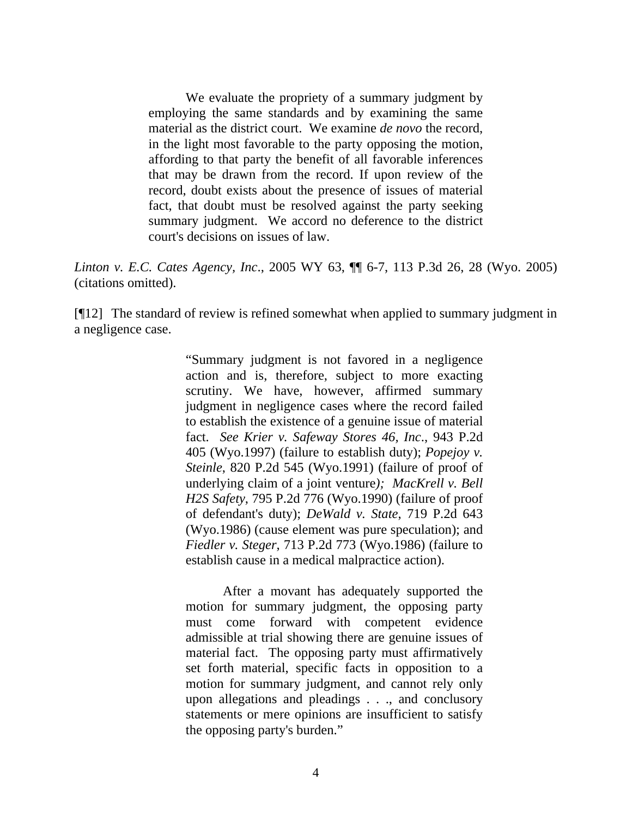We evaluate the propriety of a summary judgment by employing the same standards and by examining the same material as the district court. We examine *de novo* the record, in the light most favorable to the party opposing the motion, affording to that party the benefit of all favorable inferences that may be drawn from the record. If upon review of the record, doubt exists about the presence of issues of material fact, that doubt must be resolved against the party seeking summary judgment. We accord no deference to the district court's decisions on issues of law.

*Linton v. E.C. Cates Agency, Inc*., 2005 WY 63, ¶¶ 6-7, 113 P.3d 26, 28 (Wyo. 2005) (citations omitted).

[¶12] The standard of review is refined somewhat when applied to summary judgment in a negligence case.

> "Summary judgment is not favored in a negligence action and is, therefore, subject to more exacting scrutiny. We have, however, affirmed summary judgment in negligence cases where the record failed to establish the existence of a genuine issue of material fact. *See Krier v. Safeway Stores 46, Inc*., 943 P.2d 405 (Wyo.1997) (failure to establish duty); *Popejoy v. Steinle*, 820 P.2d 545 (Wyo.1991) (failure of proof of underlying claim of a joint venture*); MacKrell v. Bell H2S Safety*, 795 P.2d 776 (Wyo.1990) (failure of proof of defendant's duty); *DeWald v. State*, 719 P.2d 643 (Wyo.1986) (cause element was pure speculation); and *Fiedler v. Steger*, 713 P.2d 773 (Wyo.1986) (failure to establish cause in a medical malpractice action).

> After a movant has adequately supported the motion for summary judgment, the opposing party must come forward with competent evidence admissible at trial showing there are genuine issues of material fact. The opposing party must affirmatively set forth material, specific facts in opposition to a motion for summary judgment, and cannot rely only upon allegations and pleadings . . ., and conclusory statements or mere opinions are insufficient to satisfy the opposing party's burden."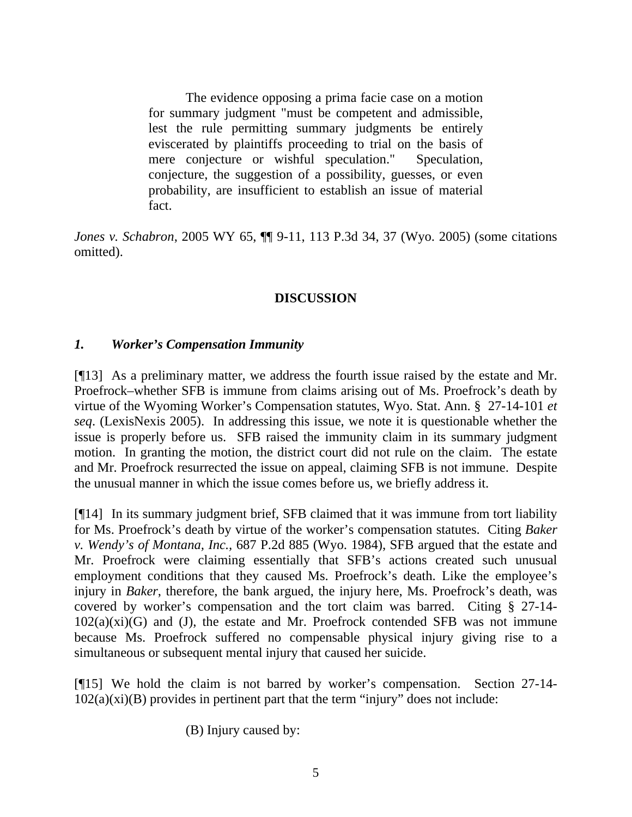The evidence opposing a prima facie case on a motion for summary judgment "must be competent and admissible, lest the rule permitting summary judgments be entirely eviscerated by plaintiffs proceeding to trial on the basis of mere conjecture or wishful speculation." Speculation, conjecture, the suggestion of a possibility, guesses, or even probability, are insufficient to establish an issue of material fact.

*Jones v. Schabron*, 2005 WY 65, ¶¶ 9-11, 113 P.3d 34, 37 (Wyo. 2005) (some citations omitted).

### **DISCUSSION**

#### *1. Worker's Compensation Immunity*

[¶13] As a preliminary matter, we address the fourth issue raised by the estate and Mr. Proefrock–whether SFB is immune from claims arising out of Ms. Proefrock's death by virtue of the Wyoming Worker's Compensation statutes, Wyo. Stat. Ann. § 27-14-101 *et seq*. (LexisNexis 2005). In addressing this issue, we note it is questionable whether the issue is properly before us. SFB raised the immunity claim in its summary judgment motion. In granting the motion, the district court did not rule on the claim. The estate and Mr. Proefrock resurrected the issue on appeal, claiming SFB is not immune. Despite the unusual manner in which the issue comes before us, we briefly address it.

[¶14] In its summary judgment brief, SFB claimed that it was immune from tort liability for Ms. Proefrock's death by virtue of the worker's compensation statutes. Citing *Baker v. Wendy's of Montana, Inc.,* 687 P.2d 885 (Wyo. 1984), SFB argued that the estate and Mr. Proefrock were claiming essentially that SFB's actions created such unusual employment conditions that they caused Ms. Proefrock's death. Like the employee's injury in *Baker*, therefore, the bank argued, the injury here, Ms. Proefrock's death, was covered by worker's compensation and the tort claim was barred. Citing § 27-14-  $102(a)(xi)(G)$  and (J), the estate and Mr. Proefrock contended SFB was not immune because Ms. Proefrock suffered no compensable physical injury giving rise to a simultaneous or subsequent mental injury that caused her suicide.

[¶15] We hold the claim is not barred by worker's compensation. Section 27-14-  $102(a)(xi)(B)$  provides in pertinent part that the term "injury" does not include:

(B) Injury caused by: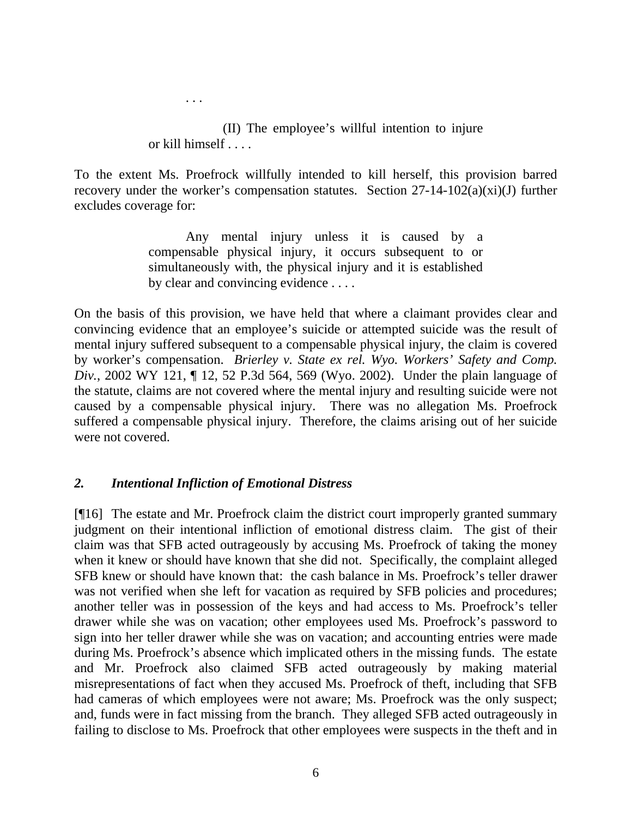(II) The employee's willful intention to injure or kill himself . . . .

To the extent Ms. Proefrock willfully intended to kill herself, this provision barred recovery under the worker's compensation statutes. Section 27-14-102(a)(xi)(J) further excludes coverage for:

> Any mental injury unless it is caused by a compensable physical injury, it occurs subsequent to or simultaneously with, the physical injury and it is established by clear and convincing evidence . . . .

On the basis of this provision, we have held that where a claimant provides clear and convincing evidence that an employee's suicide or attempted suicide was the result of mental injury suffered subsequent to a compensable physical injury, the claim is covered by worker's compensation. *Brierley v. State ex rel. Wyo. Workers' Safety and Comp. Div.*, 2002 WY 121, ¶ 12, 52 P.3d 564, 569 (Wyo. 2002). Under the plain language of the statute, claims are not covered where the mental injury and resulting suicide were not caused by a compensable physical injury. There was no allegation Ms. Proefrock suffered a compensable physical injury. Therefore, the claims arising out of her suicide were not covered.

#### *2. Intentional Infliction of Emotional Distress*

. . .

[¶16] The estate and Mr. Proefrock claim the district court improperly granted summary judgment on their intentional infliction of emotional distress claim. The gist of their claim was that SFB acted outrageously by accusing Ms. Proefrock of taking the money when it knew or should have known that she did not. Specifically, the complaint alleged SFB knew or should have known that: the cash balance in Ms. Proefrock's teller drawer was not verified when she left for vacation as required by SFB policies and procedures; another teller was in possession of the keys and had access to Ms. Proefrock's teller drawer while she was on vacation; other employees used Ms. Proefrock's password to sign into her teller drawer while she was on vacation; and accounting entries were made during Ms. Proefrock's absence which implicated others in the missing funds. The estate and Mr. Proefrock also claimed SFB acted outrageously by making material misrepresentations of fact when they accused Ms. Proefrock of theft, including that SFB had cameras of which employees were not aware; Ms. Proefrock was the only suspect; and, funds were in fact missing from the branch. They alleged SFB acted outrageously in failing to disclose to Ms. Proefrock that other employees were suspects in the theft and in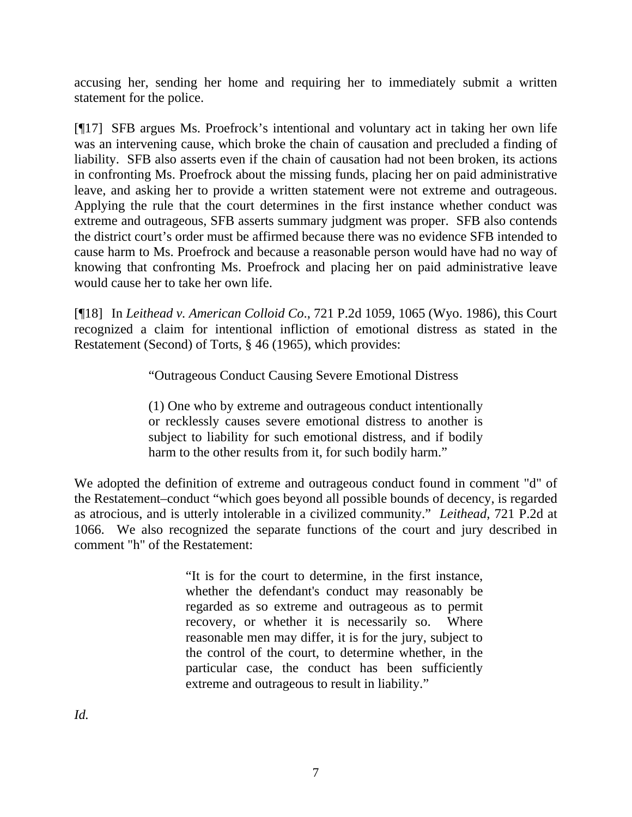accusing her, sending her home and requiring her to immediately submit a written statement for the police.

[¶17] SFB argues Ms. Proefrock's intentional and voluntary act in taking her own life was an intervening cause, which broke the chain of causation and precluded a finding of liability. SFB also asserts even if the chain of causation had not been broken, its actions in confronting Ms. Proefrock about the missing funds, placing her on paid administrative leave, and asking her to provide a written statement were not extreme and outrageous. Applying the rule that the court determines in the first instance whether conduct was extreme and outrageous, SFB asserts summary judgment was proper. SFB also contends the district court's order must be affirmed because there was no evidence SFB intended to cause harm to Ms. Proefrock and because a reasonable person would have had no way of knowing that confronting Ms. Proefrock and placing her on paid administrative leave would cause her to take her own life.

[¶18] In *Leithead v. American Colloid Co*., 721 P.2d 1059, 1065 (Wyo. 1986), this Court recognized a claim for intentional infliction of emotional distress as stated in the Restatement (Second) of Torts, § 46 (1965), which provides:

"Outrageous Conduct Causing Severe Emotional Distress

(1) One who by extreme and outrageous conduct intentionally or recklessly causes severe emotional distress to another is subject to liability for such emotional distress, and if bodily harm to the other results from it, for such bodily harm."

We adopted the definition of extreme and outrageous conduct found in comment "d" of the Restatement–conduct "which goes beyond all possible bounds of decency, is regarded as atrocious, and is utterly intolerable in a civilized community." *Leithead*, 721 P.2d at 1066. We also recognized the separate functions of the court and jury described in comment "h" of the Restatement:

> "It is for the court to determine, in the first instance, whether the defendant's conduct may reasonably be regarded as so extreme and outrageous as to permit recovery, or whether it is necessarily so. Where reasonable men may differ, it is for the jury, subject to the control of the court, to determine whether, in the particular case, the conduct has been sufficiently extreme and outrageous to result in liability."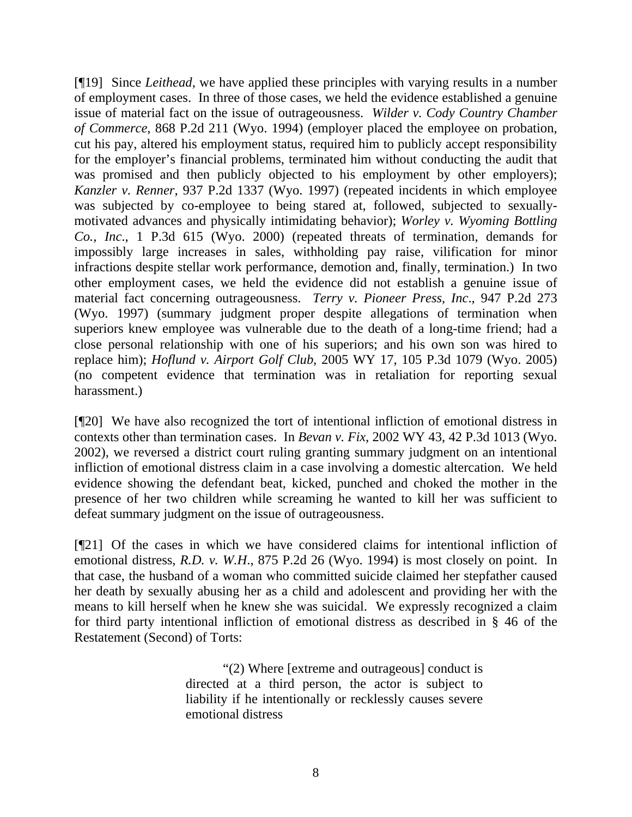[¶19] Since *Leithead*, we have applied these principles with varying results in a number of employment cases. In three of those cases, we held the evidence established a genuine issue of material fact on the issue of outrageousness. *Wilder v. Cody Country Chamber of Commerce*, 868 P.2d 211 (Wyo. 1994) (employer placed the employee on probation, cut his pay, altered his employment status, required him to publicly accept responsibility for the employer's financial problems, terminated him without conducting the audit that was promised and then publicly objected to his employment by other employers); *Kanzler v. Renner*, 937 P.2d 1337 (Wyo. 1997) (repeated incidents in which employee was subjected by co-employee to being stared at, followed, subjected to sexuallymotivated advances and physically intimidating behavior); *Worley v. Wyoming Bottling Co., Inc*., 1 P.3d 615 (Wyo. 2000) (repeated threats of termination, demands for impossibly large increases in sales, withholding pay raise, vilification for minor infractions despite stellar work performance, demotion and, finally, termination.) In two other employment cases, we held the evidence did not establish a genuine issue of material fact concerning outrageousness. *Terry v. Pioneer Press, Inc*., 947 P.2d 273 (Wyo. 1997) (summary judgment proper despite allegations of termination when superiors knew employee was vulnerable due to the death of a long-time friend; had a close personal relationship with one of his superiors; and his own son was hired to replace him); *Hoflund v. Airport Golf Club*, 2005 WY 17, 105 P.3d 1079 (Wyo. 2005) (no competent evidence that termination was in retaliation for reporting sexual harassment.)

[¶20] We have also recognized the tort of intentional infliction of emotional distress in contexts other than termination cases. In *Bevan v. Fix*, 2002 WY 43, 42 P.3d 1013 (Wyo. 2002), we reversed a district court ruling granting summary judgment on an intentional infliction of emotional distress claim in a case involving a domestic altercation. We held evidence showing the defendant beat, kicked, punched and choked the mother in the presence of her two children while screaming he wanted to kill her was sufficient to defeat summary judgment on the issue of outrageousness.

[¶21] Of the cases in which we have considered claims for intentional infliction of emotional distress, *R.D. v. W.H*., 875 P.2d 26 (Wyo. 1994) is most closely on point. In that case, the husband of a woman who committed suicide claimed her stepfather caused her death by sexually abusing her as a child and adolescent and providing her with the means to kill herself when he knew she was suicidal. We expressly recognized a claim for third party intentional infliction of emotional distress as described in § 46 of the Restatement (Second) of Torts:

> "(2) Where [extreme and outrageous] conduct is directed at a third person, the actor is subject to liability if he intentionally or recklessly causes severe emotional distress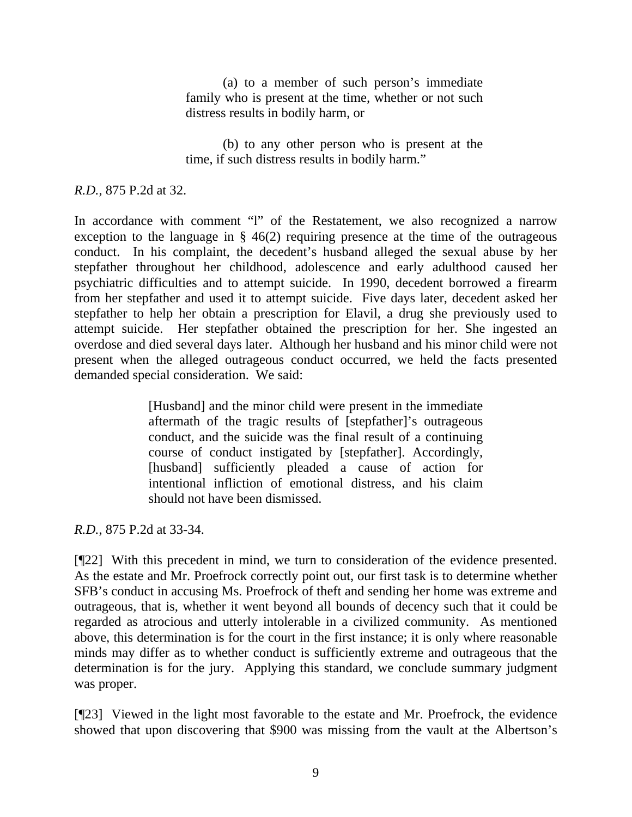(a) to a member of such person's immediate family who is present at the time, whether or not such distress results in bodily harm, or

 (b) to any other person who is present at the time, if such distress results in bodily harm."

*R.D.*, 875 P.2d at 32.

In accordance with comment "l" of the Restatement, we also recognized a narrow exception to the language in  $\S$  46(2) requiring presence at the time of the outrageous conduct. In his complaint, the decedent's husband alleged the sexual abuse by her stepfather throughout her childhood, adolescence and early adulthood caused her psychiatric difficulties and to attempt suicide. In 1990, decedent borrowed a firearm from her stepfather and used it to attempt suicide. Five days later, decedent asked her stepfather to help her obtain a prescription for Elavil, a drug she previously used to attempt suicide. Her stepfather obtained the prescription for her. She ingested an overdose and died several days later. Although her husband and his minor child were not present when the alleged outrageous conduct occurred, we held the facts presented demanded special consideration. We said:

> [Husband] and the minor child were present in the immediate aftermath of the tragic results of [stepfather]'s outrageous conduct, and the suicide was the final result of a continuing course of conduct instigated by [stepfather]. Accordingly, [husband] sufficiently pleaded a cause of action for intentional infliction of emotional distress, and his claim should not have been dismissed.

*R.D.*, 875 P.2d at 33-34.

[¶22] With this precedent in mind, we turn to consideration of the evidence presented. As the estate and Mr. Proefrock correctly point out, our first task is to determine whether SFB's conduct in accusing Ms. Proefrock of theft and sending her home was extreme and outrageous, that is, whether it went beyond all bounds of decency such that it could be regarded as atrocious and utterly intolerable in a civilized community. As mentioned above, this determination is for the court in the first instance; it is only where reasonable minds may differ as to whether conduct is sufficiently extreme and outrageous that the determination is for the jury. Applying this standard, we conclude summary judgment was proper.

[¶23] Viewed in the light most favorable to the estate and Mr. Proefrock, the evidence showed that upon discovering that \$900 was missing from the vault at the Albertson's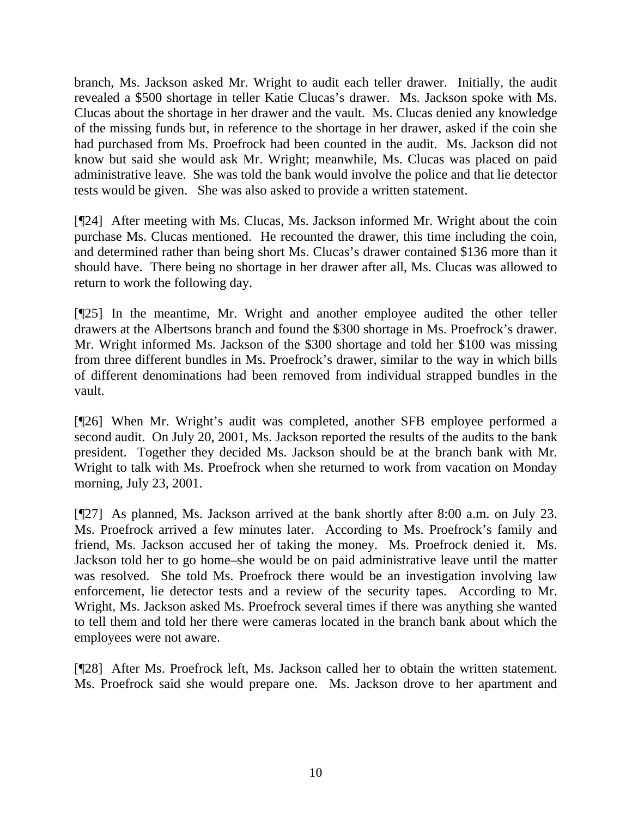branch, Ms. Jackson asked Mr. Wright to audit each teller drawer. Initially, the audit revealed a \$500 shortage in teller Katie Clucas's drawer. Ms. Jackson spoke with Ms. Clucas about the shortage in her drawer and the vault. Ms. Clucas denied any knowledge of the missing funds but, in reference to the shortage in her drawer, asked if the coin she had purchased from Ms. Proefrock had been counted in the audit. Ms. Jackson did not know but said she would ask Mr. Wright; meanwhile, Ms. Clucas was placed on paid administrative leave. She was told the bank would involve the police and that lie detector tests would be given. She was also asked to provide a written statement.

[¶24] After meeting with Ms. Clucas, Ms. Jackson informed Mr. Wright about the coin purchase Ms. Clucas mentioned. He recounted the drawer, this time including the coin, and determined rather than being short Ms. Clucas's drawer contained \$136 more than it should have. There being no shortage in her drawer after all, Ms. Clucas was allowed to return to work the following day.

[¶25] In the meantime, Mr. Wright and another employee audited the other teller drawers at the Albertsons branch and found the \$300 shortage in Ms. Proefrock's drawer. Mr. Wright informed Ms. Jackson of the \$300 shortage and told her \$100 was missing from three different bundles in Ms. Proefrock's drawer, similar to the way in which bills of different denominations had been removed from individual strapped bundles in the vault.

[¶26] When Mr. Wright's audit was completed, another SFB employee performed a second audit. On July 20, 2001, Ms. Jackson reported the results of the audits to the bank president. Together they decided Ms. Jackson should be at the branch bank with Mr. Wright to talk with Ms. Proefrock when she returned to work from vacation on Monday morning, July 23, 2001.

[¶27] As planned, Ms. Jackson arrived at the bank shortly after 8:00 a.m. on July 23. Ms. Proefrock arrived a few minutes later. According to Ms. Proefrock's family and friend, Ms. Jackson accused her of taking the money. Ms. Proefrock denied it. Ms. Jackson told her to go home–she would be on paid administrative leave until the matter was resolved. She told Ms. Proefrock there would be an investigation involving law enforcement, lie detector tests and a review of the security tapes. According to Mr. Wright, Ms. Jackson asked Ms. Proefrock several times if there was anything she wanted to tell them and told her there were cameras located in the branch bank about which the employees were not aware.

[¶28] After Ms. Proefrock left, Ms. Jackson called her to obtain the written statement. Ms. Proefrock said she would prepare one. Ms. Jackson drove to her apartment and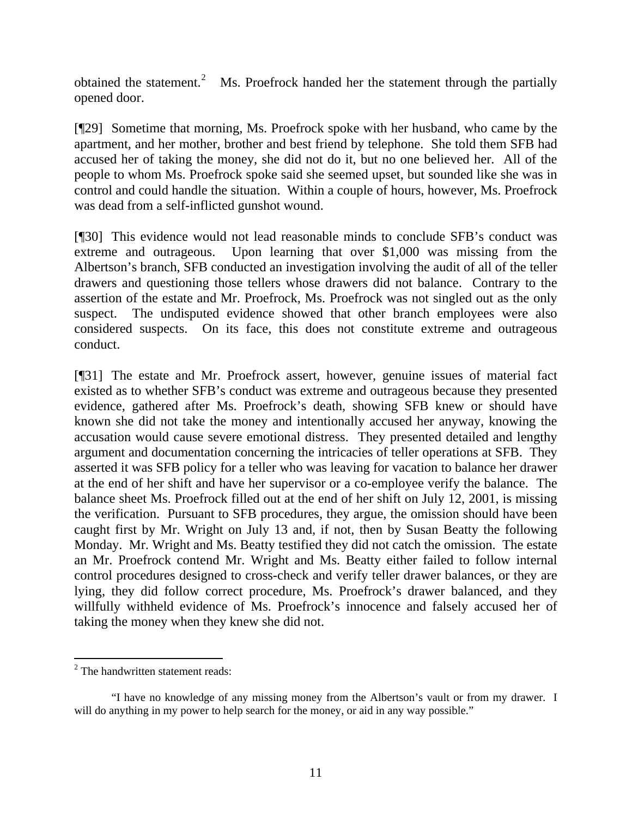obtained the statement.<sup>[2](#page-12-0)</sup> Ms. Proefrock handed her the statement through the partially opened door.

[¶29] Sometime that morning, Ms. Proefrock spoke with her husband, who came by the apartment, and her mother, brother and best friend by telephone. She told them SFB had accused her of taking the money, she did not do it, but no one believed her. All of the people to whom Ms. Proefrock spoke said she seemed upset, but sounded like she was in control and could handle the situation. Within a couple of hours, however, Ms. Proefrock was dead from a self-inflicted gunshot wound.

[¶30] This evidence would not lead reasonable minds to conclude SFB's conduct was extreme and outrageous. Upon learning that over \$1,000 was missing from the Albertson's branch, SFB conducted an investigation involving the audit of all of the teller drawers and questioning those tellers whose drawers did not balance. Contrary to the assertion of the estate and Mr. Proefrock, Ms. Proefrock was not singled out as the only suspect. The undisputed evidence showed that other branch employees were also considered suspects. On its face, this does not constitute extreme and outrageous conduct.

[¶31] The estate and Mr. Proefrock assert, however, genuine issues of material fact existed as to whether SFB's conduct was extreme and outrageous because they presented evidence, gathered after Ms. Proefrock's death, showing SFB knew or should have known she did not take the money and intentionally accused her anyway, knowing the accusation would cause severe emotional distress. They presented detailed and lengthy argument and documentation concerning the intricacies of teller operations at SFB. They asserted it was SFB policy for a teller who was leaving for vacation to balance her drawer at the end of her shift and have her supervisor or a co-employee verify the balance. The balance sheet Ms. Proefrock filled out at the end of her shift on July 12, 2001, is missing the verification. Pursuant to SFB procedures, they argue, the omission should have been caught first by Mr. Wright on July 13 and, if not, then by Susan Beatty the following Monday. Mr. Wright and Ms. Beatty testified they did not catch the omission. The estate an Mr. Proefrock contend Mr. Wright and Ms. Beatty either failed to follow internal control procedures designed to cross-check and verify teller drawer balances, or they are lying, they did follow correct procedure, Ms. Proefrock's drawer balanced, and they willfully withheld evidence of Ms. Proefrock's innocence and falsely accused her of taking the money when they knew she did not.

<span id="page-12-0"></span> $2^2$  The handwritten statement reads:

 <sup>&</sup>quot;I have no knowledge of any missing money from the Albertson's vault or from my drawer. I will do anything in my power to help search for the money, or aid in any way possible."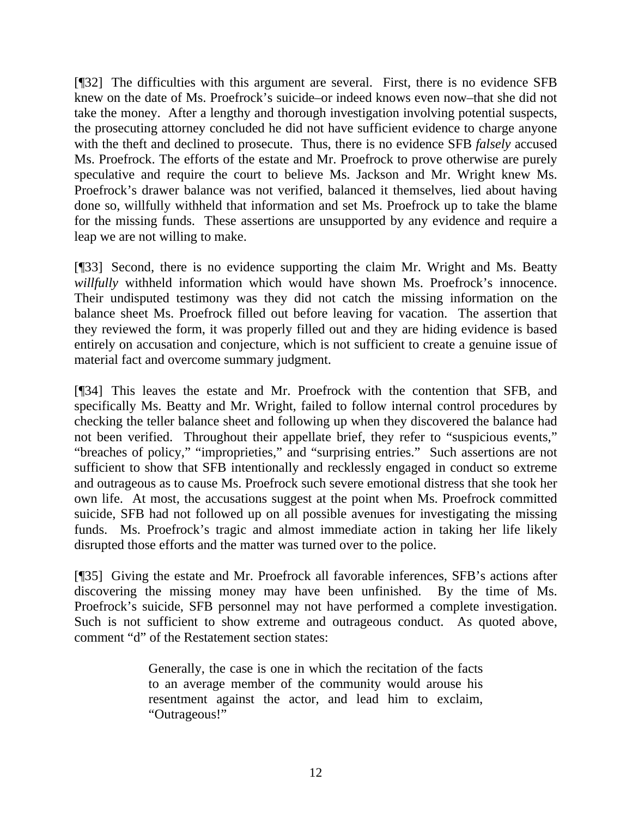[¶32] The difficulties with this argument are several. First, there is no evidence SFB knew on the date of Ms. Proefrock's suicide–or indeed knows even now–that she did not take the money. After a lengthy and thorough investigation involving potential suspects, the prosecuting attorney concluded he did not have sufficient evidence to charge anyone with the theft and declined to prosecute. Thus, there is no evidence SFB *falsely* accused Ms. Proefrock. The efforts of the estate and Mr. Proefrock to prove otherwise are purely speculative and require the court to believe Ms. Jackson and Mr. Wright knew Ms. Proefrock's drawer balance was not verified, balanced it themselves, lied about having done so, willfully withheld that information and set Ms. Proefrock up to take the blame for the missing funds. These assertions are unsupported by any evidence and require a leap we are not willing to make.

[¶33] Second, there is no evidence supporting the claim Mr. Wright and Ms. Beatty *willfully* withheld information which would have shown Ms. Proefrock's innocence. Their undisputed testimony was they did not catch the missing information on the balance sheet Ms. Proefrock filled out before leaving for vacation. The assertion that they reviewed the form, it was properly filled out and they are hiding evidence is based entirely on accusation and conjecture, which is not sufficient to create a genuine issue of material fact and overcome summary judgment.

[¶34] This leaves the estate and Mr. Proefrock with the contention that SFB, and specifically Ms. Beatty and Mr. Wright, failed to follow internal control procedures by checking the teller balance sheet and following up when they discovered the balance had not been verified. Throughout their appellate brief, they refer to "suspicious events," "breaches of policy," "improprieties," and "surprising entries." Such assertions are not sufficient to show that SFB intentionally and recklessly engaged in conduct so extreme and outrageous as to cause Ms. Proefrock such severe emotional distress that she took her own life. At most, the accusations suggest at the point when Ms. Proefrock committed suicide, SFB had not followed up on all possible avenues for investigating the missing funds. Ms. Proefrock's tragic and almost immediate action in taking her life likely disrupted those efforts and the matter was turned over to the police.

[¶35] Giving the estate and Mr. Proefrock all favorable inferences, SFB's actions after discovering the missing money may have been unfinished. By the time of Ms. Proefrock's suicide, SFB personnel may not have performed a complete investigation. Such is not sufficient to show extreme and outrageous conduct. As quoted above, comment "d" of the Restatement section states:

> Generally, the case is one in which the recitation of the facts to an average member of the community would arouse his resentment against the actor, and lead him to exclaim, "Outrageous!"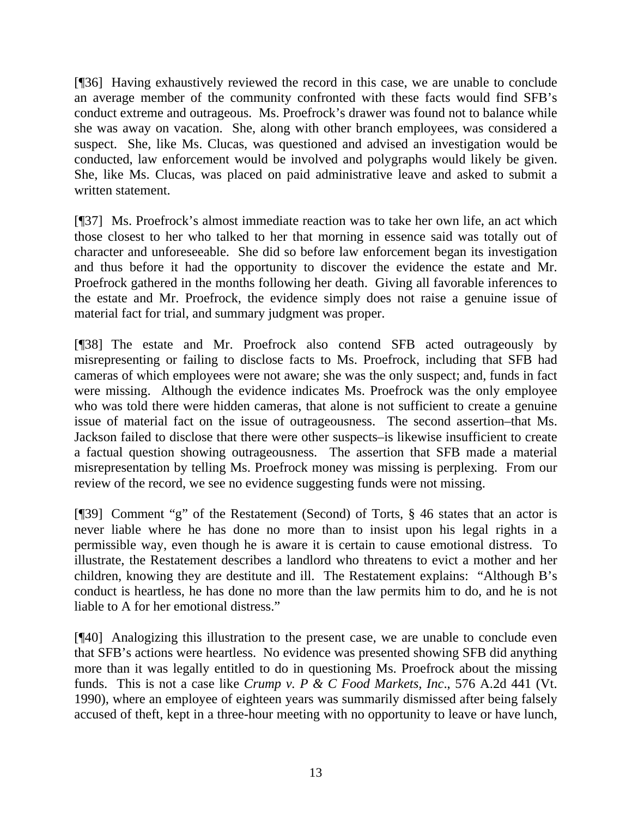[¶36] Having exhaustively reviewed the record in this case, we are unable to conclude an average member of the community confronted with these facts would find SFB's conduct extreme and outrageous. Ms. Proefrock's drawer was found not to balance while she was away on vacation. She, along with other branch employees, was considered a suspect. She, like Ms. Clucas, was questioned and advised an investigation would be conducted, law enforcement would be involved and polygraphs would likely be given. She, like Ms. Clucas, was placed on paid administrative leave and asked to submit a written statement.

[¶37] Ms. Proefrock's almost immediate reaction was to take her own life, an act which those closest to her who talked to her that morning in essence said was totally out of character and unforeseeable. She did so before law enforcement began its investigation and thus before it had the opportunity to discover the evidence the estate and Mr. Proefrock gathered in the months following her death. Giving all favorable inferences to the estate and Mr. Proefrock, the evidence simply does not raise a genuine issue of material fact for trial, and summary judgment was proper.

[¶38] The estate and Mr. Proefrock also contend SFB acted outrageously by misrepresenting or failing to disclose facts to Ms. Proefrock, including that SFB had cameras of which employees were not aware; she was the only suspect; and, funds in fact were missing. Although the evidence indicates Ms. Proefrock was the only employee who was told there were hidden cameras, that alone is not sufficient to create a genuine issue of material fact on the issue of outrageousness. The second assertion–that Ms. Jackson failed to disclose that there were other suspects–is likewise insufficient to create a factual question showing outrageousness. The assertion that SFB made a material misrepresentation by telling Ms. Proefrock money was missing is perplexing. From our review of the record, we see no evidence suggesting funds were not missing.

[¶39] Comment "g" of the Restatement (Second) of Torts, § 46 states that an actor is never liable where he has done no more than to insist upon his legal rights in a permissible way, even though he is aware it is certain to cause emotional distress. To illustrate, the Restatement describes a landlord who threatens to evict a mother and her children, knowing they are destitute and ill. The Restatement explains: "Although B's conduct is heartless, he has done no more than the law permits him to do, and he is not liable to A for her emotional distress."

[¶40] Analogizing this illustration to the present case, we are unable to conclude even that SFB's actions were heartless. No evidence was presented showing SFB did anything more than it was legally entitled to do in questioning Ms. Proefrock about the missing funds. This is not a case like *Crump v. P & C Food Markets, Inc*., 576 A.2d 441 (Vt. 1990), where an employee of eighteen years was summarily dismissed after being falsely accused of theft, kept in a three-hour meeting with no opportunity to leave or have lunch,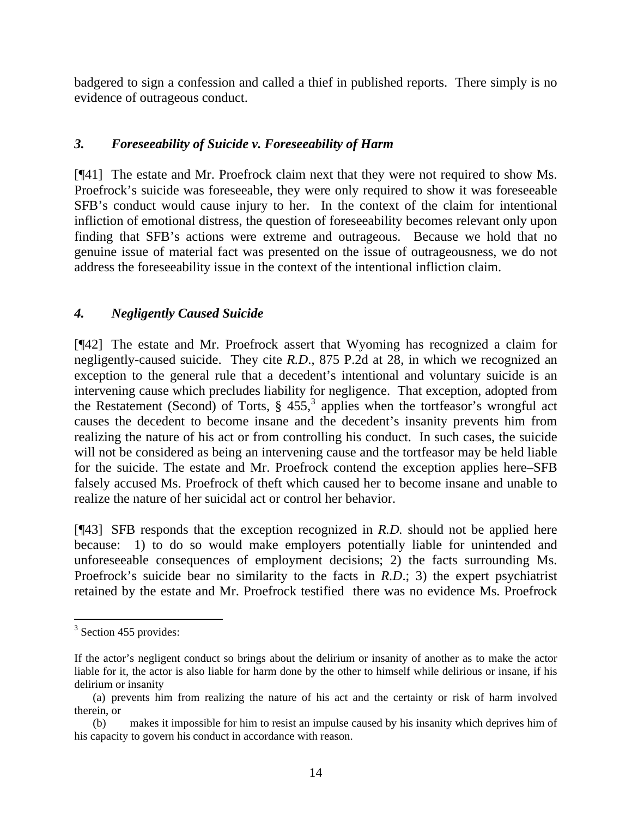badgered to sign a confession and called a thief in published reports. There simply is no evidence of outrageous conduct.

## *3. Foreseeability of Suicide v. Foreseeability of Harm*

[¶41] The estate and Mr. Proefrock claim next that they were not required to show Ms. Proefrock's suicide was foreseeable, they were only required to show it was foreseeable SFB's conduct would cause injury to her. In the context of the claim for intentional infliction of emotional distress, the question of foreseeability becomes relevant only upon finding that SFB's actions were extreme and outrageous. Because we hold that no genuine issue of material fact was presented on the issue of outrageousness, we do not address the foreseeability issue in the context of the intentional infliction claim.

# *4. Negligently Caused Suicide*

[¶42] The estate and Mr. Proefrock assert that Wyoming has recognized a claim for negligently-caused suicide. They cite *R.D*., 875 P.2d at 28, in which we recognized an exception to the general rule that a decedent's intentional and voluntary suicide is an intervening cause which precludes liability for negligence. That exception, adopted from the Restatement (Second) of Torts,  $\S 455$ , applies when the tortfeasor's wrongful act causes the decedent to become insane and the decedent's insanity prevents him from realizing the nature of his act or from controlling his conduct. In such cases, the suicide will not be considered as being an intervening cause and the tortfeasor may be held liable for the suicide. The estate and Mr. Proefrock contend the exception applies here–SFB falsely accused Ms. Proefrock of theft which caused her to become insane and unable to realize the nature of her suicidal act or control her behavior.

[¶43] SFB responds that the exception recognized in *R.D.* should not be applied here because: 1) to do so would make employers potentially liable for unintended and unforeseeable consequences of employment decisions; 2) the facts surrounding Ms. Proefrock's suicide bear no similarity to the facts in *R.D*.; 3) the expert psychiatrist retained by the estate and Mr. Proefrock testified there was no evidence Ms. Proefrock

<span id="page-15-0"></span> $3$  Section 455 provides:

If the actor's negligent conduct so brings about the delirium or insanity of another as to make the actor liable for it, the actor is also liable for harm done by the other to himself while delirious or insane, if his delirium or insanity

<sup>(</sup>a) prevents him from realizing the nature of his act and the certainty or risk of harm involved therein, or

<sup>(</sup>b) makes it impossible for him to resist an impulse caused by his insanity which deprives him of his capacity to govern his conduct in accordance with reason.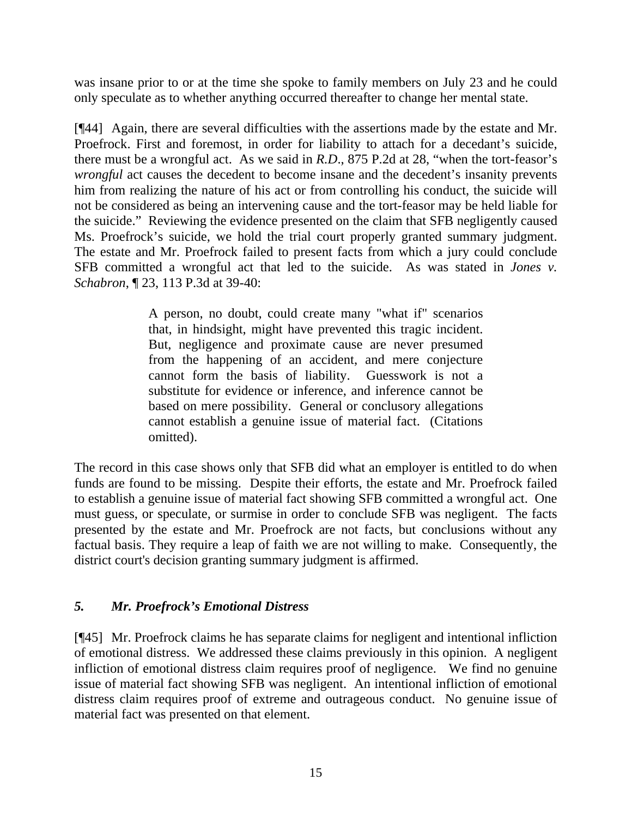was insane prior to or at the time she spoke to family members on July 23 and he could only speculate as to whether anything occurred thereafter to change her mental state.

[¶44] Again, there are several difficulties with the assertions made by the estate and Mr. Proefrock. First and foremost, in order for liability to attach for a decedant's suicide, there must be a wrongful act. As we said in *R.D*., 875 P.2d at 28, "when the tort-feasor's *wrongful* act causes the decedent to become insane and the decedent's insanity prevents him from realizing the nature of his act or from controlling his conduct, the suicide will not be considered as being an intervening cause and the tort-feasor may be held liable for the suicide." Reviewing the evidence presented on the claim that SFB negligently caused Ms. Proefrock's suicide, we hold the trial court properly granted summary judgment. The estate and Mr. Proefrock failed to present facts from which a jury could conclude SFB committed a wrongful act that led to the suicide. As was stated in *Jones v. Schabron*, ¶ 23, 113 P.3d at 39-40:

> A person, no doubt, could create many "what if" scenarios that, in hindsight, might have prevented this tragic incident. But, negligence and proximate cause are never presumed from the happening of an accident, and mere conjecture cannot form the basis of liability. Guesswork is not a substitute for evidence or inference, and inference cannot be based on mere possibility. General or conclusory allegations cannot establish a genuine issue of material fact. (Citations omitted).

The record in this case shows only that SFB did what an employer is entitled to do when funds are found to be missing. Despite their efforts, the estate and Mr. Proefrock failed to establish a genuine issue of material fact showing SFB committed a wrongful act. One must guess, or speculate, or surmise in order to conclude SFB was negligent. The facts presented by the estate and Mr. Proefrock are not facts, but conclusions without any factual basis. They require a leap of faith we are not willing to make. Consequently, the district court's decision granting summary judgment is affirmed.

# *5. Mr. Proefrock's Emotional Distress*

[¶45] Mr. Proefrock claims he has separate claims for negligent and intentional infliction of emotional distress. We addressed these claims previously in this opinion. A negligent infliction of emotional distress claim requires proof of negligence. We find no genuine issue of material fact showing SFB was negligent. An intentional infliction of emotional distress claim requires proof of extreme and outrageous conduct. No genuine issue of material fact was presented on that element.